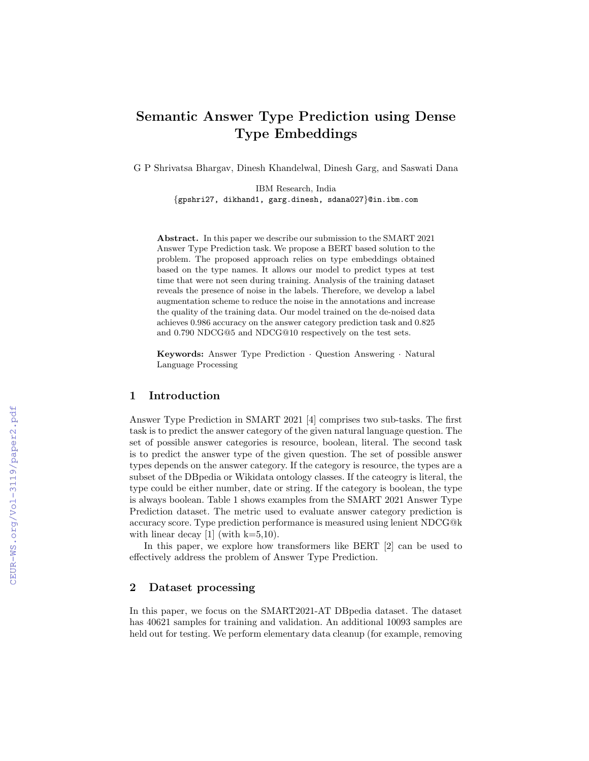# Semantic Answer Type Prediction using Dense Type Embeddings

G P Shrivatsa Bhargav, Dinesh Khandelwal, Dinesh Garg, and Saswati Dana

IBM Research, India {gpshri27, dikhand1, garg.dinesh, sdana027}@in.ibm.com

Abstract. In this paper we describe our submission to the SMART 2021 Answer Type Prediction task. We propose a BERT based solution to the problem. The proposed approach relies on type embeddings obtained based on the type names. It allows our model to predict types at test time that were not seen during training. Analysis of the training dataset reveals the presence of noise in the labels. Therefore, we develop a label augmentation scheme to reduce the noise in the annotations and increase the quality of the training data. Our model trained on the de-noised data achieves 0.986 accuracy on the answer category prediction task and 0.825 and 0.790 NDCG@5 and NDCG@10 respectively on the test sets.

Keywords: Answer Type Prediction · Question Answering · Natural Language Processing

# 1 Introduction

Answer Type Prediction in SMART 2021 [4] comprises two sub-tasks. The first task is to predict the answer category of the given natural language question. The set of possible answer categories is resource, boolean, literal. The second task is to predict the answer type of the given question. The set of possible answer types depends on the answer category. If the category is resource, the types are a subset of the DBpedia or Wikidata ontology classes. If the cateogry is literal, the type could be either number, date or string. If the category is boolean, the type is always boolean. Table 1 shows examples from the SMART 2021 Answer Type Prediction dataset. The metric used to evaluate answer category prediction is accuracy score. Type prediction performance is measured using lenient NDCG@k with linear decay [1] (with  $k=5,10$ ).

In this paper, we explore how transformers like BERT [2] can be used to effectively address the problem of Answer Type Prediction.

# 2 Dataset processing

In this paper, we focus on the SMART2021-AT DBpedia dataset. The dataset has 40621 samples for training and validation. An additional 10093 samples are held out for testing. We perform elementary data cleanup (for example, removing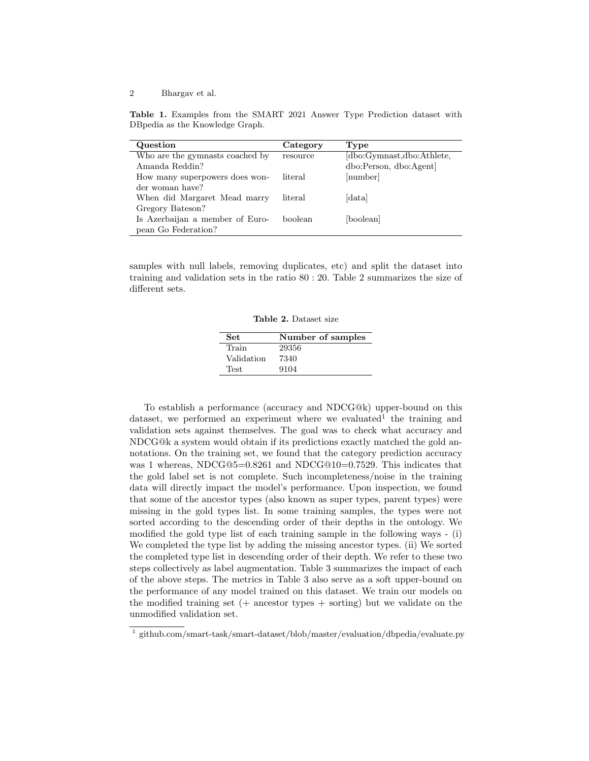Table 1. Examples from the SMART 2021 Answer Type Prediction dataset with DBpedia as the Knowledge Graph.

| Question                        | Category | Type                      |
|---------------------------------|----------|---------------------------|
| Who are the gymnasts coached by | resource | [dbo:Gymnast,dbo:Athlete, |
| Amanda Reddin?                  |          | dbo:Person, dbo:Agent]    |
| How many superpowers does won-  | literal  | [number]                  |
| der woman have?                 |          |                           |
| When did Margaret Mead marry    | literal  | data                      |
| Gregory Bateson?                |          |                           |
| Is Azerbaijan a member of Euro- | boolean  | [boolean]                 |
| pean Go Federation?             |          |                           |

samples with null labels, removing duplicates, etc) and split the dataset into training and validation sets in the ratio 80 : 20. Table 2 summarizes the size of different sets.

Table 2. Dataset size

| <b>Set</b>  | Number of samples |
|-------------|-------------------|
| Train       | 29356             |
| Validation  | 7340              |
| <b>Test</b> | 9104              |

To establish a performance (accuracy and NDCG@k) upper-bound on this dataset, we performed an experiment where we evaluated<sup>1</sup> the training and validation sets against themselves. The goal was to check what accuracy and NDCG@k a system would obtain if its predictions exactly matched the gold annotations. On the training set, we found that the category prediction accuracy was 1 whereas, NDCG@5=0.8261 and NDCG@10=0.7529. This indicates that the gold label set is not complete. Such incompleteness/noise in the training data will directly impact the model's performance. Upon inspection, we found that some of the ancestor types (also known as super types, parent types) were missing in the gold types list. In some training samples, the types were not sorted according to the descending order of their depths in the ontology. We modified the gold type list of each training sample in the following ways - (i) We completed the type list by adding the missing ancestor types. (ii) We sorted the completed type list in descending order of their depth. We refer to these two steps collectively as label augmentation. Table 3 summarizes the impact of each of the above steps. The metrics in Table 3 also serve as a soft upper-bound on the performance of any model trained on this dataset. We train our models on the modified training set  $(+)$  ancestor types  $+$  sorting) but we validate on the unmodified validation set.

<sup>&</sup>lt;sup>1</sup> github.com/smart-task/smart-dataset/blob/master/evaluation/dbpedia/evaluate.py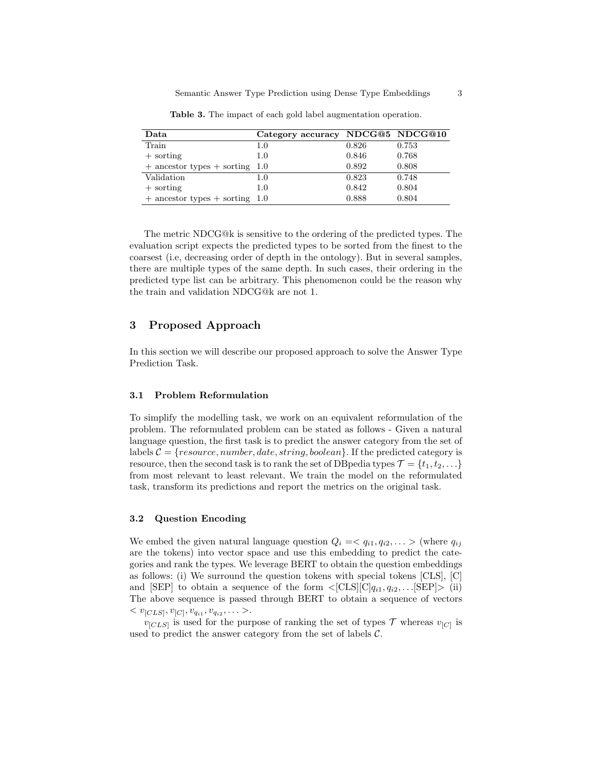| Data                               | Category accuracy NDCG@5 NDCG@10 |       |       |
|------------------------------------|----------------------------------|-------|-------|
| Train                              | $1.0\,$                          | 0.826 | 0.753 |
| $+$ sorting                        | $1.0\,$                          | 0.846 | 0.768 |
| $+$ ancestor types $+$ sorting 1.0 |                                  | 0.892 | 0.808 |
| Validation                         | $1.0\,$                          | 0.823 | 0.748 |
| $+$ sorting                        | $1.0\,$                          | 0.842 | 0.804 |
| $+$ ancestor types $+$ sorting 1.0 |                                  | 0.888 | 0.804 |

Table 3. The impact of each gold label augmentation operation.

The metric NDCG@k is sensitive to the ordering of the predicted types. The evaluation script expects the predicted types to be sorted from the finest to the coarsest (i.e, decreasing order of depth in the ontology). But in several samples, there are multiple types of the same depth. In such cases, their ordering in the predicted type list can be arbitrary. This phenomenon could be the reason why the train and validation NDCG@k are not 1.

# 3 Proposed Approach

In this section we will describe our proposed approach to solve the Answer Type Prediction Task.

# 3.1 Problem Reformulation

To simplify the modelling task, we work on an equivalent reformulation of the problem. The reformulated problem can be stated as follows - Given a natural language question, the first task is to predict the answer category from the set of labels  $C = \{resource, number, date, string, boolean\}$ . If the predicted category is resource, then the second task is to rank the set of DB pedia types  $\mathcal{T} = \{t_1, t_2, \ldots\}$ from most relevant to least relevant. We train the model on the reformulated task, transform its predictions and report the metrics on the original task.

## 3.2 Question Encoding

We embed the given natural language question  $Q_i = \langle q_{i1}, q_{i2}, \ldots \rangle$  (where  $q_{ij}$ ) are the tokens) into vector space and use this embedding to predict the categories and rank the types. We leverage BERT to obtain the question embeddings as follows: (i) We surround the question tokens with special tokens [CLS], [C] and [SEP] to obtain a sequence of the form  $\langle [CLS][C]q_{i1}, q_{i2}, \ldots [SEP] \rangle$  (ii) The above sequence is passed through BERT to obtain a sequence of vectors  $< v_{[CLS]}, v_{[C]}, v_{q_{i1}}, v_{q_{i2}}, \ldots >.$ 

 $v_{[CLS]}$  is used for the purpose of ranking the set of types T whereas  $v_{[C]}$  is used to predict the answer category from the set of labels  $C$ .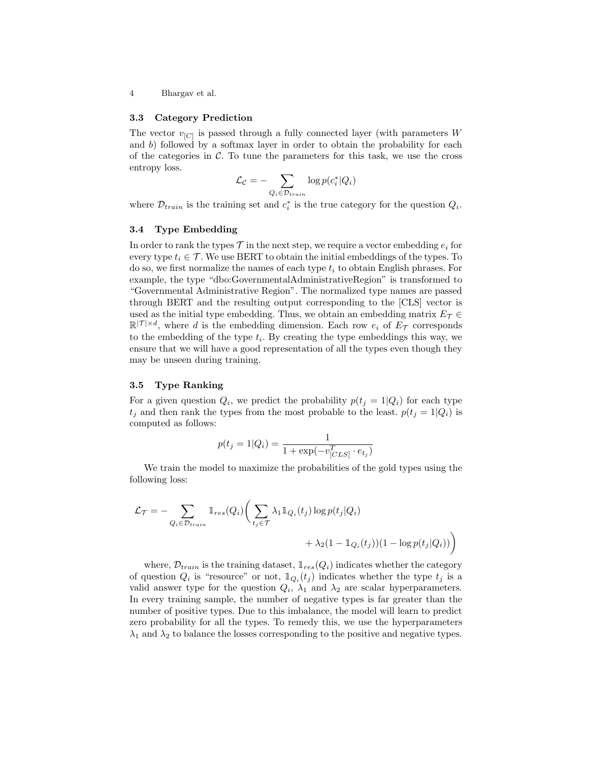#### 3.3 Category Prediction

The vector  $v_{[C]}$  is passed through a fully connected layer (with parameters W and b) followed by a softmax layer in order to obtain the probability for each of the categories in  $\mathcal C$ . To tune the parameters for this task, we use the cross entropy loss.

$$
\mathcal{L}_{\mathcal{C}} = -\sum_{Q_i \in \mathcal{D}_{train}} \log p(c_i^* | Q_i)
$$

where  $\mathcal{D}_{train}$  is the training set and  $c_i^*$  is the true category for the question  $Q_i$ .

#### 3.4 Type Embedding

In order to rank the types  $\mathcal T$  in the next step, we require a vector embedding  $e_i$  for every type  $t_i \in \mathcal{T}$ . We use BERT to obtain the initial embeddings of the types. To do so, we first normalize the names of each type  $t_i$  to obtain English phrases. For example, the type "dbo:GovernmentalAdministrativeRegion" is transformed to "Governmental Administrative Region". The normalized type names are passed through BERT and the resulting output corresponding to the [CLS] vector is used as the initial type embedding. Thus, we obtain an embedding matrix  $E_{\mathcal{T}} \in$  $\mathbb{R}^{|\mathcal{T}| \times d}$ , where d is the embedding dimension. Each row  $e_i$  of  $E_{\mathcal{T}}$  corresponds to the embedding of the type  $t_i$ . By creating the type embeddings this way, we ensure that we will have a good representation of all the types even though they may be unseen during training.

## 3.5 Type Ranking

For a given question  $Q_i$ , we predict the probability  $p(t_j = 1|Q_i)$  for each type  $t_j$  and then rank the types from the most probable to the least.  $p(t_j = 1|Q_i)$  is computed as follows:

$$
p(t_j = 1 | Q_i) = \frac{1}{1 + \exp(-v_{[CLS]}^T \cdot e_{t_j})}
$$

We train the model to maximize the probabilities of the gold types using the following loss:

$$
\mathcal{L}_{\mathcal{T}} = -\sum_{Q_i \in \mathcal{D}_{train}} \mathbb{1}_{res}(Q_i) \bigg( \sum_{t_j \in \mathcal{T}} \lambda_1 \mathbb{1}_{Q_i}(t_j) \log p(t_j | Q_i) + \lambda_2 (1 - \mathbb{1}_{Q_i}(t_j)) (1 - \log p(t_j | Q_i)) \bigg)
$$

where,  $\mathcal{D}_{train}$  is the training dataset,  $\mathbb{1}_{res}(Q_i)$  indicates whether the category of question  $Q_i$  is "resource" or not,  $\mathbb{I}_{Q_i}(t_j)$  indicates whether the type  $t_j$  is a valid answer type for the question  $Q_i$ ,  $\lambda_1$  and  $\lambda_2$  are scalar hyperparameters. In every training sample, the number of negative types is far greater than the number of positive types. Due to this imbalance, the model will learn to predict zero probability for all the types. To remedy this, we use the hyperparameters  $\lambda_1$  and  $\lambda_2$  to balance the losses corresponding to the positive and negative types.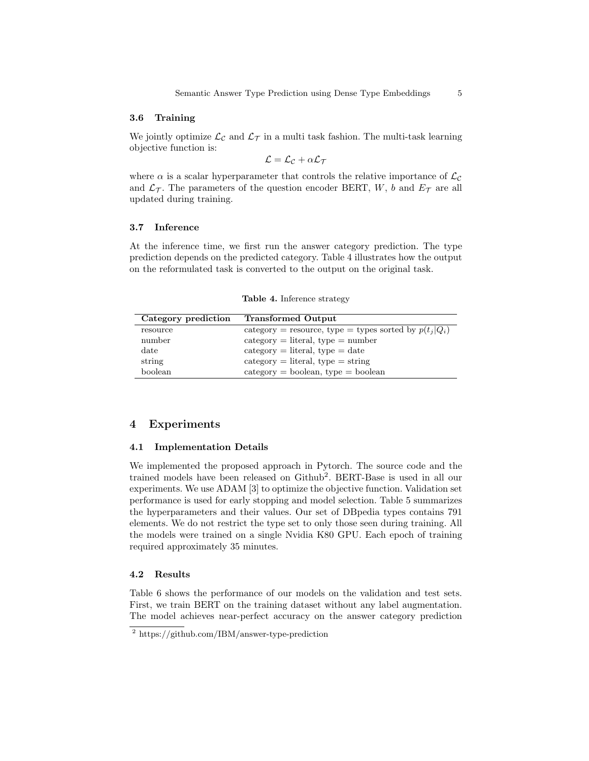#### 3.6 Training

We jointly optimize  $\mathcal{L}_{\mathcal{C}}$  and  $\mathcal{L}_{\mathcal{T}}$  in a multi task fashion. The multi-task learning objective function is:

$$
\mathcal{L} = \mathcal{L}_{\mathcal{C}} + \alpha \mathcal{L}_{\mathcal{T}}
$$

where  $\alpha$  is a scalar hyperparameter that controls the relative importance of  $\mathcal{L}_{\mathcal{C}}$ and  $\mathcal{L}_{\mathcal{T}}$ . The parameters of the question encoder BERT, W, b and  $E_{\mathcal{T}}$  are all updated during training.

# 3.7 Inference

At the inference time, we first run the answer category prediction. The type prediction depends on the predicted category. Table 4 illustrates how the output on the reformulated task is converted to the output on the original task.

Table 4. Inference strategy

| Category prediction | <b>Transformed Output</b>                                |
|---------------------|----------------------------------------------------------|
| resource            | category = resource, type = types sorted by $p(t_i Q_i)$ |
| number              | $category = literal, type = number$                      |
| date                | $category = literal, type = date$                        |
| string              | $category = literal, type = string$                      |
| boolean             | $category = boolean, type = boolean$                     |

# 4 Experiments

## 4.1 Implementation Details

We implemented the proposed approach in Pytorch. The source code and the trained models have been released on Github<sup>2</sup>. BERT-Base is used in all our experiments. We use ADAM [3] to optimize the objective function. Validation set performance is used for early stopping and model selection. Table 5 summarizes the hyperparameters and their values. Our set of DBpedia types contains 791 elements. We do not restrict the type set to only those seen during training. All the models were trained on a single Nvidia K80 GPU. Each epoch of training required approximately 35 minutes.

### 4.2 Results

Table 6 shows the performance of our models on the validation and test sets. First, we train BERT on the training dataset without any label augmentation. The model achieves near-perfect accuracy on the answer category prediction

<sup>2</sup> https://github.com/IBM/answer-type-prediction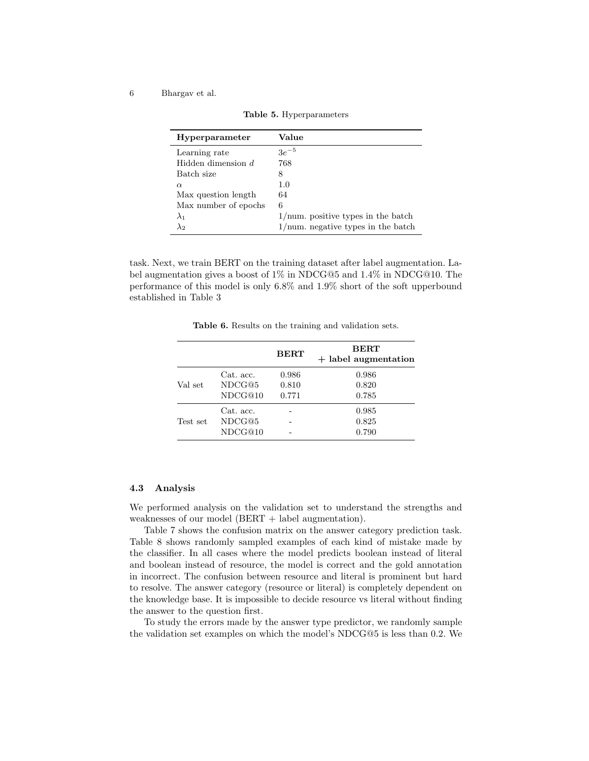$\overline{a}$ 

| Hyperparameter       | Value                                      |
|----------------------|--------------------------------------------|
| Learning rate        | $3e^{-5}$                                  |
| Hidden dimension d   | 768                                        |
| Batch size           | 8                                          |
| $\alpha$             | 1.0                                        |
| Max question length  | 64                                         |
| Max number of epochs | 6                                          |
| $\lambda_1$          | $1/\text{num}$ positive types in the batch |
| $\lambda_2$          | $1/\text{num}$ negative types in the batch |

Table 5. Hyperparameters

task. Next, we train BERT on the training dataset after label augmentation. Label augmentation gives a boost of 1% in NDCG@5 and 1.4% in NDCG@10. The performance of this model is only 6.8% and 1.9% short of the soft upperbound established in Table 3

Table 6. Results on the training and validation sets.

|          |                                | <b>BERT</b>             | <b>BERT</b><br>$+$ label augmentation |
|----------|--------------------------------|-------------------------|---------------------------------------|
| Val set  | Cat. acc.<br>NDCG@5<br>NDCG@10 | 0.986<br>0.810<br>0.771 | 0.986<br>0.820<br>0.785               |
| Test set | Cat. acc.<br>NDCG@5<br>NDCG@10 |                         | 0.985<br>0.825<br>0.790               |

# 4.3 Analysis

We performed analysis on the validation set to understand the strengths and weaknesses of our model (BERT + label augmentation).

Table 7 shows the confusion matrix on the answer category prediction task. Table 8 shows randomly sampled examples of each kind of mistake made by the classifier. In all cases where the model predicts boolean instead of literal and boolean instead of resource, the model is correct and the gold annotation in incorrect. The confusion between resource and literal is prominent but hard to resolve. The answer category (resource or literal) is completely dependent on the knowledge base. It is impossible to decide resource vs literal without finding the answer to the question first.

To study the errors made by the answer type predictor, we randomly sample the validation set examples on which the model's NDCG@5 is less than 0.2. We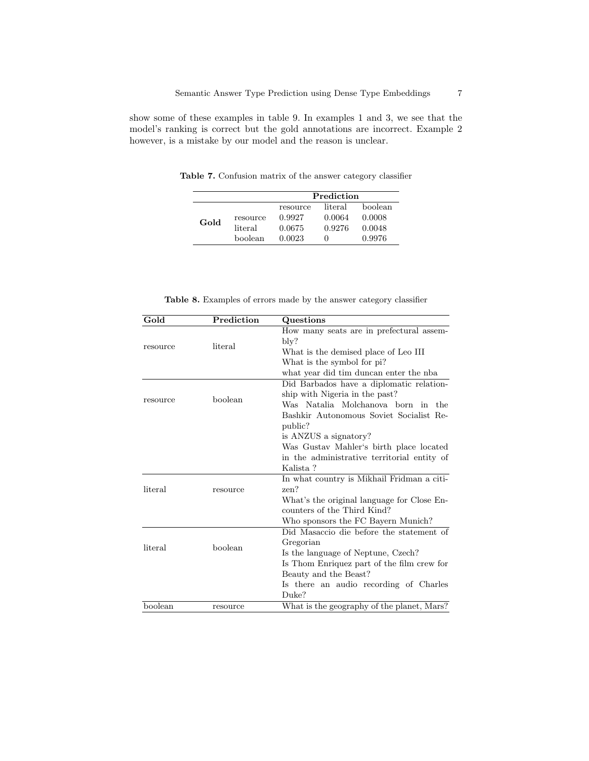show some of these examples in table 9. In examples 1 and 3, we see that the model's ranking is correct but the gold annotations are incorrect. Example 2 however, is a mistake by our model and the reason is unclear.

Table 7. Confusion matrix of the answer category classifier

|      |                     | Prediction                   |                             |                             |
|------|---------------------|------------------------------|-----------------------------|-----------------------------|
| Gold | resource<br>literal | resource<br>0.9927<br>0.0675 | literal<br>0.0064<br>0.9276 | boolean<br>0.0008<br>0.0048 |
|      | boolean             | 0.0023                       | $\mathbf{0}$                | 0.9976                      |

Table 8. Examples of errors made by the answer category classifier

| Gold     | Prediction | Questions                                   |
|----------|------------|---------------------------------------------|
|          |            | How many seats are in prefectural assem-    |
| resource | literal    | bly?                                        |
|          |            | What is the demised place of Leo III        |
|          |            | What is the symbol for pi?                  |
|          |            | what year did tim duncan enter the nba      |
|          |            | Did Barbados have a diplomatic relation-    |
| resource | boolean    | ship with Nigeria in the past?              |
|          |            | Was Natalia Molchanova born in the          |
|          |            | Bashkir Autonomous Soviet Socialist Re-     |
|          |            | public?                                     |
|          |            | is ANZUS a signatory?                       |
|          |            | Was Gustav Mahler's birth place located     |
|          |            | in the administrative territorial entity of |
|          |            | Kalista?                                    |
|          |            | In what country is Mikhail Fridman a citi-  |
| literal  | resource   | zen?                                        |
|          |            | What's the original language for Close En-  |
|          |            | counters of the Third Kind?                 |
|          |            | Who sponsors the FC Bayern Munich?          |
|          |            | Did Masaccio die before the statement of    |
| literal  | boolean    | Gregorian                                   |
|          |            | Is the language of Neptune, Czech?          |
|          |            | Is Thom Enriquez part of the film crew for  |
|          |            | Beauty and the Beast?                       |
|          |            | Is there an audio recording of Charles      |
|          |            | Duke?                                       |
| boolean  | resource   | What is the geography of the planet, Mars?  |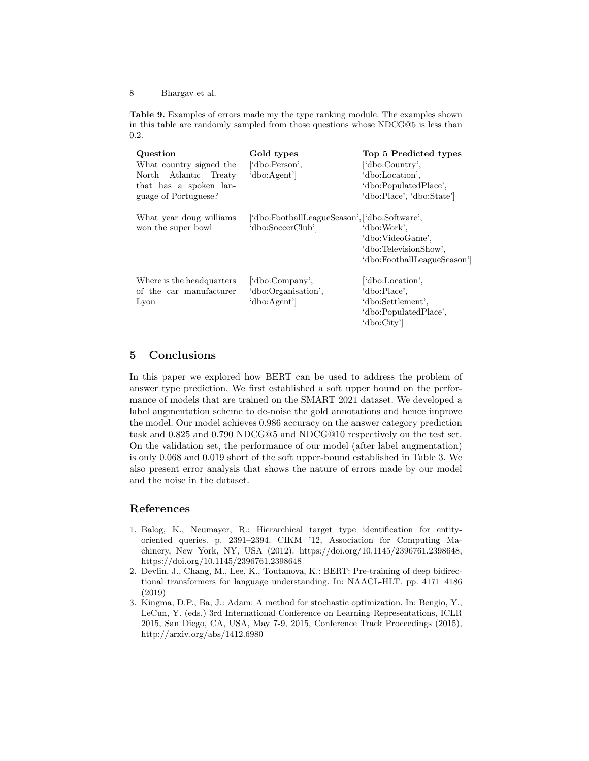Table 9. Examples of errors made my the type ranking module. The examples shown in this table are randomly sampled from those questions whose NDCG@5 is less than 0.2.

| Question                  | Gold types                                    | Top 5 Predicted types       |
|---------------------------|-----------------------------------------------|-----------------------------|
| What country signed the   | ['dbo:Person',                                | ['dbo:Country',             |
| North Atlantic Treaty     | 'dbo:Agent'                                   | 'dbo:Location',             |
| that has a spoken lan-    |                                               | 'dbo:PopulatedPlace',       |
| guage of Portuguese?      |                                               | 'dbo:Place', 'dbo:State']   |
| What year doug williams   | ['dbo:FootballLeagueSeason', ['dbo:Software', |                             |
| won the super bowl        | 'dbo:SoccerClub']                             | 'dbo:Work'.                 |
|                           |                                               | 'dbo:VideoGame',            |
|                           |                                               | 'dbo:TelevisionShow',       |
|                           |                                               | 'dbo:FootballLeagueSeason'] |
| Where is the headquarters | ['dbo:Company',                               | "dbo:Location",             |
| of the car manufacturer   | 'dbo:Organisation',                           | 'dbo:Place',                |
| Lyon                      | 'dbo:Agent'                                   | 'dbo:Settlement'.           |
|                           |                                               | 'dbo:PopulatedPlace',       |
|                           |                                               | 'dbo:City'                  |

# 5 Conclusions

In this paper we explored how BERT can be used to address the problem of answer type prediction. We first established a soft upper bound on the performance of models that are trained on the SMART 2021 dataset. We developed a label augmentation scheme to de-noise the gold annotations and hence improve the model. Our model achieves 0.986 accuracy on the answer category prediction task and 0.825 and 0.790 NDCG@5 and NDCG@10 respectively on the test set. On the validation set, the performance of our model (after label augmentation) is only 0.068 and 0.019 short of the soft upper-bound established in Table 3. We also present error analysis that shows the nature of errors made by our model and the noise in the dataset.

# References

- 1. Balog, K., Neumayer, R.: Hierarchical target type identification for entityoriented queries. p. 2391–2394. CIKM '12, Association for Computing Machinery, New York, NY, USA (2012). https://doi.org/10.1145/2396761.2398648, https://doi.org/10.1145/2396761.2398648
- 2. Devlin, J., Chang, M., Lee, K., Toutanova, K.: BERT: Pre-training of deep bidirectional transformers for language understanding. In: NAACL-HLT. pp. 4171–4186 (2019)
- 3. Kingma, D.P., Ba, J.: Adam: A method for stochastic optimization. In: Bengio, Y., LeCun, Y. (eds.) 3rd International Conference on Learning Representations, ICLR 2015, San Diego, CA, USA, May 7-9, 2015, Conference Track Proceedings (2015), http://arxiv.org/abs/1412.6980